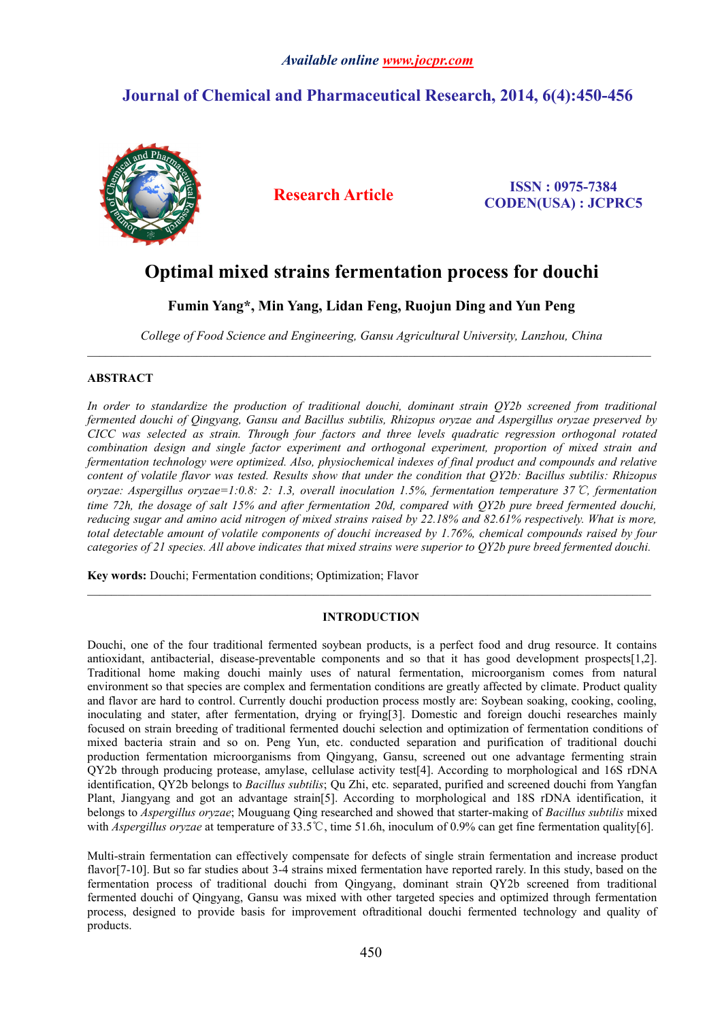# **Journal of Chemical and Pharmaceutical Research, 2014, 6(4):450-456**



**Research Article ISSN : 0975-7384 CODEN(USA) : JCPRC5**

# **Optimal mixed strainsfermentation process for douchi**

**Fumin Yang\*, Min Yang, Lidan Feng, Ruojun Ding and Yun Peng**

*College of Food Science and Engineering, Gansu Agricultural University, Lanzhou, China*

## **ABSTRACT**

*In order to standardize the production of traditional douchi, dominant strain QY2b screened from traditional fermented douchi ofQingyang, Gansu and Bacillus subtilis, Rhizopus oryzae and Aspergillus oryzae preserved by CICC was selected as strain. Through four factors and three levels quadratic regression orthogonal rotated combination design and single factor experiment and orthogonal experiment, proportion of mixed strain and fermentation technology were optimized. Also, physiochemical indexes of final product and compounds and relative* content of volatile flavor was tested. Results show that under the condition that OY2b: Bacillus subtilis: Rhizopus *oryzae: Aspergillus oryzae=1:0.8: 2: 1.3, overall inoculation 1.5%, fermentation temperature 37*℃*, fermentation* time 72h, the dosage of salt 15% and after fermentation 20d, compared with OY2b pure breed fermented douchi, reducing sugar and amino acid nitrogen of mixed strains raised by 22.18% and 82.61% respectively. What is more, *total detectable amount of volatile components of douchi increased by 1.76%, chemical compounds raised by four* categories of 21 species. All above indicates that mixed strains were superior to OY2b pure breed fermented douchi.

**Key words:**Douchi; Fermentation conditions; Optimization; Flavor

## **INTRODUCTION**

 $\mathcal{L}_\mathcal{L} = \mathcal{L}_\mathcal{L}$ 

Douchi, one of the four traditional fermented soybean products, is a perfect food and drug resource. It contains antioxidant, antibacterial, disease-preventable components and so that it has good development prospects[1,2]. Traditional home making douchi mainly uses of natural fermentation, microorganism comes from natural environment so that species are complex and fermentation conditions are greatly affected by climate. Product quality and flavor are hard to control. Currently douchi production process mostly are: Soybean soaking, cooking, cooling, inoculating and stater, after fermentation, drying or frying[3]. Domestic and foreign douchi researches mainly focused on strain breeding of traditional fermented douchi selection and optimization of fermentation conditions of mixed bacteria strain and so on. Peng Yun, etc. conducted separation and purification of traditional douchi production fermentation microorganisms from Qingyang, Gansu, screened out one advantage fermenting strain QY2b through producing protease, amylase, cellulase activity test[4]. According to morphological and 16S rDNA identification, QY2b belongs to *Bacillus subtilis*; Qu Zhi, etc. separated, purified and screened douchi from Yangfan Plant, Jiangyang and got an advantage strain[5]. According to morphological and 18S rDNA identification, it belongs to *Aspergillus oryzae*; Mouguang Qing researched and showed that starter-making of *Bacillus subtilis* mixed with *Aspergillus oryzae* at temperature of 33.5℃, time 51.6h, inoculum of 0.9% can get fine fermentation quality[6].

Multi-strain fermentation can effectively compensate for defects of single strain fermentation and increase product flavor[7-10]. But so far studies about 3-4 strains mixed fermentation have reported rarely. In this study, based on the fermentation process of traditional douchi from Qingyang, dominant strain QY2b screened from traditional fermented douchi of Qingyang, Gansu was mixed with other targeted species and optimized through fermentation process, designed to provide basis for improvement oftraditional douchi fermented technology and quality of products.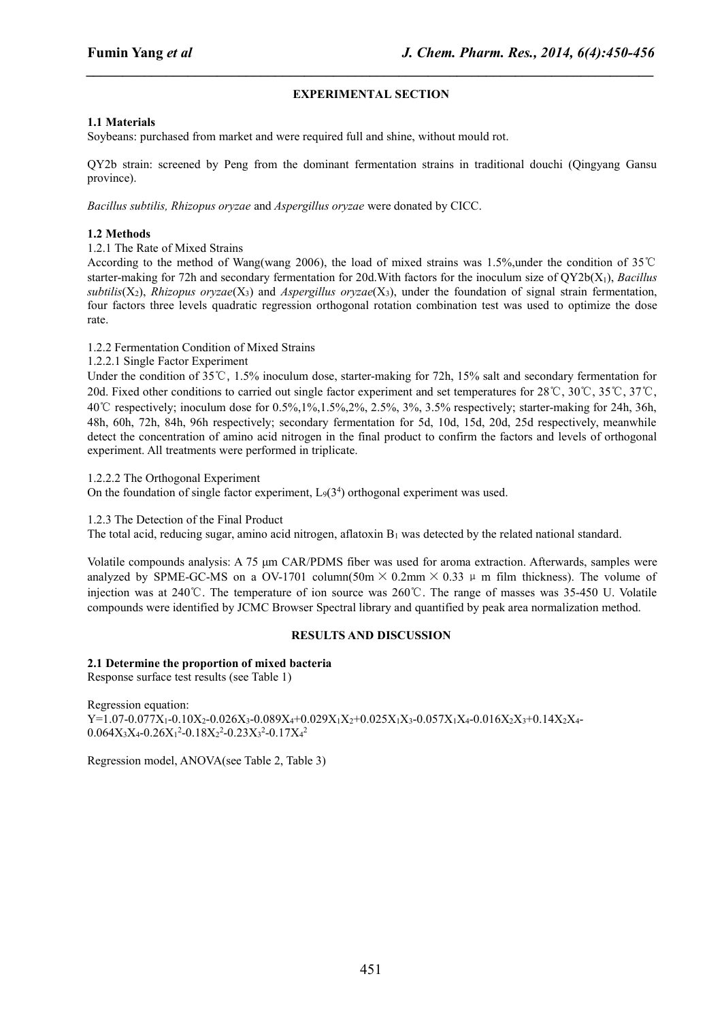# **EXPERIMENTAL SECTION**

*\_\_\_\_\_\_\_\_\_\_\_\_\_\_\_\_\_\_\_\_\_\_\_\_\_\_\_\_\_\_\_\_\_\_\_\_\_\_\_\_\_\_\_\_\_\_\_\_\_\_\_\_\_\_\_\_\_\_\_\_\_\_\_\_\_\_\_\_\_\_\_\_\_\_\_\_\_\_*

### **1.1 Materials**

Soybeans: purchased from market and were required full and shine, without mould rot.

QY2b strain: screened by Peng from the dominant fermentation strains in traditional douchi (Qingyang Gansu province).

*Bacillus subtilis, Rhizopus oryzae* and *Aspergillus oryzae* were donated by CICC.

# **1.2 Methods**

1.2.1 The Rate of Mixed Strains

According to the method of Wang(wang 2006), the load of mixed strains was 1.5%,under the condition of 35℃ starter-making for 72h and secondary fermentation for 20d.With factors for the inoculum size of QY2b(X1), *Bacillus*  $subtilis(X_2)$ , *Rhizopus oryzae*(X<sub>3</sub>) and *Aspergillus oryzae*(X<sub>3</sub>), under the foundation of signal strain fermentation, four factors three levels quadratic regression orthogonal rotation combination test was used to optimize the dose rate.

1.2.2 Fermentation Condition of Mixed Strains

1.2.2.1 Single Factor Experiment

Under the condition of 35℃, 1.5% inoculum dose, starter-making for 72h, 15% salt and secondary fermentation for 20d. Fixed other conditions to carried out single factor experiment and set temperatures for 28℃, 30℃, 35℃, 37℃, 40℃ respectively; inoculum dose for 0.5%,1%,1.5%,2%, 2.5%, 3%, 3.5% respectively; starter-making for 24h, 36h, 48h, 60h, 72h, 84h, 96h respectively; secondary fermentation for 5d, 10d, 15d, 20d, 25d respectively, meanwhile detect the concentration of amino acid nitrogen in the final product to confirm the factors and levels of orthogonal experiment. All treatments were performed in triplicate.

1.2.2.2 The Orthogonal Experiment

On the foundation of single factor experiment,  $L_9(3^4)$  orthogonal experiment was used.

#### 1.2.3 The Detection of the Final Product

The total acid, reducing sugar, amino acid nitrogen, aflatoxin  $B_1$  was detected by the related national standard.

Volatile compounds analysis: A 75 μm CAR/PDMS fiber was used for aroma extraction. Afterwards, samples were analyzed by SPME-GC-MS on a OV-1701 column(50m  $\times$  0.2mm  $\times$  0.33  $\mu$  m film thickness). The volume of injection was at 240℃. The temperature of ion source was 260℃. The range of masses was 35-450 U. Volatile compounds were identified by JCMC Browser Spectral library and quantified by peak area normalization method.

#### **RESULTS AND DISCUSSION**

#### **2.1 Determine the proportion of mixed bacteria**

Response surface test results (see Table 1)

Regression equation:  $Y=1.07-0.077X_1-0.10X_2-0.026X_3-0.089X_4+0.029X_1X_2+0.025X_1X_3-0.057X_1X_4-0.016X_2X_3+0.14X_2X_4-0.016X_3+0.016X_4X_5+0.016X_5X_6+0.016X_6X_7+0.016X_7X_8+0.016X_7X_9+0.016X_7X_9+0.016X_7X_9+0.016X_7X_9+0.016X_7X_9+0.$  $0.064X_3X_4 - 0.26X_1^2 - 0.18X_2^2 - 0.23X_3^2 - 0.17X_4^2$ 2

Regression model, ANOVA(see Table 2, Table 3)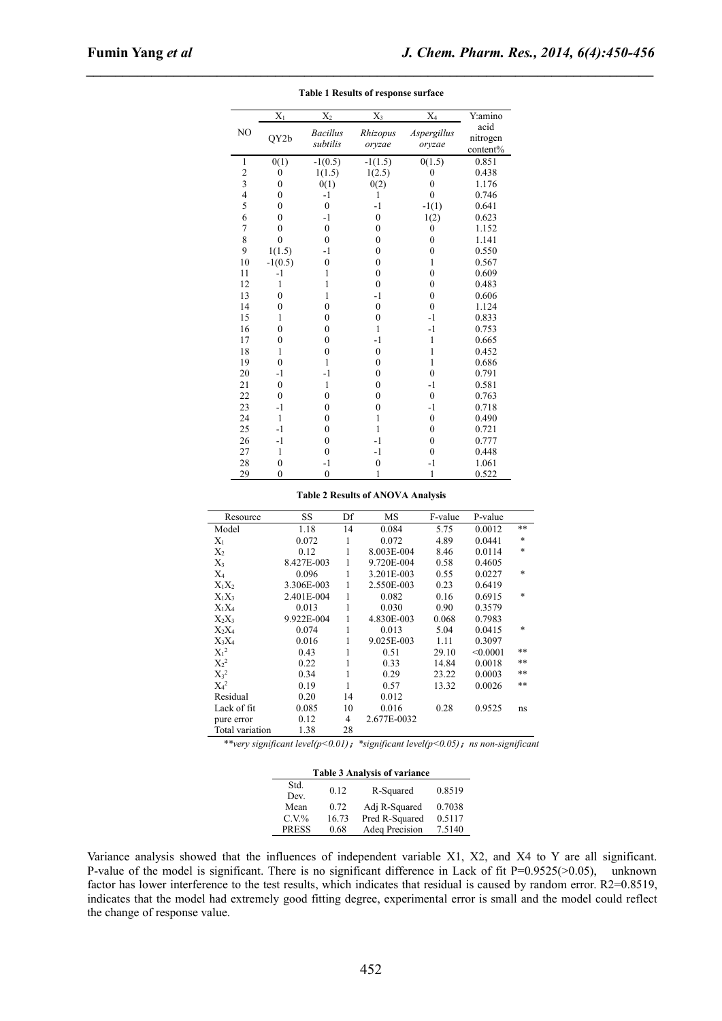|                | $\overline{X_1}$ | $\overline{X_2}$ | $\overline{X_3}$ | $\overline{X_4}$ | Y:amino          |
|----------------|------------------|------------------|------------------|------------------|------------------|
| NO             | QY2b             | <b>Bacillus</b>  | Rhizopus         | Aspergillus      | acid<br>nitrogen |
|                |                  | subtilis         | oryzae           | oryzae           | content%         |
| 1              | 0(1)             | $-1(0.5)$        | $-1(1.5)$        | 0(1.5)           | 0.851            |
| $\sqrt{2}$     | $\boldsymbol{0}$ | 1(1.5)           | 1(2.5)           | $\mathbf{0}$     | 0.438            |
| $\mathfrak{Z}$ | $\boldsymbol{0}$ | 0(1)             | 0(2)             | $\boldsymbol{0}$ | 1.176            |
| $\overline{4}$ | $\boldsymbol{0}$ | $-1$             | 1                | $\mathbf{0}$     | 0.746            |
| 5              | $\theta$         | $\boldsymbol{0}$ | $-1$             | $-1(1)$          | 0.641            |
| 6              | $\mathbf{0}$     | $-1$             | $\boldsymbol{0}$ | 1(2)             | 0.623            |
| 7              | $\mathbf{0}$     | $\boldsymbol{0}$ | $\boldsymbol{0}$ | $\mathbf{0}$     | 1.152            |
| 8              | $\overline{0}$   | $\boldsymbol{0}$ | $\boldsymbol{0}$ | $\boldsymbol{0}$ | 1.141            |
| 9              | 1(1.5)           | $-1$             | $\boldsymbol{0}$ | $\boldsymbol{0}$ | 0.550            |
| 10             | $-1(0.5)$        | $\boldsymbol{0}$ | $\boldsymbol{0}$ | 1                | 0.567            |
| 11             | $-1$             | 1                | $\boldsymbol{0}$ | $\mathbf{0}$     | 0.609            |
| 12             | 1                | 1                | $\boldsymbol{0}$ | $\boldsymbol{0}$ | 0.483            |
| 13             | $\mathbf{0}$     | 1                | $-1$             | $\boldsymbol{0}$ | 0.606            |
| 14             | $\mathbf{0}$     | $\mathbf{0}$     | $\boldsymbol{0}$ | $\boldsymbol{0}$ | 1.124            |
| 15             | 1                | $\mathbf{0}$     | $\boldsymbol{0}$ | $-1$             | 0.833            |
| 16             | $\mathbf{0}$     | $\mathbf{0}$     | $\mathbf{1}$     | $-1$             | 0.753            |
| 17             | $\boldsymbol{0}$ | $\boldsymbol{0}$ | $-1$             | $\mathbf{1}$     | 0.665            |
| 18             | 1                | $\boldsymbol{0}$ | $\boldsymbol{0}$ | 1                | 0.452            |
| 19             | $\boldsymbol{0}$ | 1                | $\boldsymbol{0}$ | $\mathbf{1}$     | 0.686            |
| 20             | $-1$             | $-1$             | $\boldsymbol{0}$ | $\boldsymbol{0}$ | 0.791            |
| 21             | $\mathbf{0}$     | 1                | $\boldsymbol{0}$ | $-1$             | 0.581            |
| 22             | $\mathbf{0}$     | $\mathbf{0}$     | $\boldsymbol{0}$ | $\mathbf{0}$     | 0.763            |
| 23             | $-1$             | $\mathbf{0}$     | $\boldsymbol{0}$ | $-1$             | 0.718            |
| 24             | 1                | $\boldsymbol{0}$ | 1                | $\boldsymbol{0}$ | 0.490            |
| 25             | $-1$             | $\mathbf{0}$     | $\mathbf{1}$     | $\boldsymbol{0}$ | 0.721            |
| 26             | $-1$             | $\boldsymbol{0}$ | $-1$             | $\boldsymbol{0}$ | 0.777            |
| 27             | 1                | $\mathbf{0}$     | $-1$             | $\mathbf{0}$     | 0.448            |
| 28             | $\mathbf{0}$     | $-1$             | $\boldsymbol{0}$ | $-1$             | 1.061            |
| 29             | $\mathbf{0}$     | $\boldsymbol{0}$ | 1                | 1                | 0.522            |

**Table 1 Results ofresponse surface**

*\_\_\_\_\_\_\_\_\_\_\_\_\_\_\_\_\_\_\_\_\_\_\_\_\_\_\_\_\_\_\_\_\_\_\_\_\_\_\_\_\_\_\_\_\_\_\_\_\_\_\_\_\_\_\_\_\_\_\_\_\_\_\_\_\_\_\_\_\_\_\_\_\_\_\_\_\_\_*

#### **Table 2 Results ofANOVA Analysis**

| Resource        | SS         | Df | MS          | F-value | P-value  |        |
|-----------------|------------|----|-------------|---------|----------|--------|
| Model           | 1.18       | 14 | 0.084       | 5.75    | 0.0012   | **     |
| $X_1$           | 0.072      | 1  | 0.072       | 4.89    | 0.0441   | $\ast$ |
| $X_2$           | 0.12       | 1  | 8.003E-004  | 8.46    | 0.0114   | $\ast$ |
| $X_3$           | 8.427E-003 | 1  | 9.720E-004  | 0.58    | 0.4605   |        |
| $X_4$           | 0.096      | 1  | 3.201E-003  | 0.55    | 0.0227   | *      |
| $X_1X_2$        | 3.306E-003 | 1  | 2.550E-003  | 0.23    | 0.6419   |        |
| $X_1X_3$        | 2.401E-004 | 1  | 0.082       | 0.16    | 0.6915   | *      |
| $X_1X_4$        | 0.013      | 1  | 0.030       | 0.90    | 0.3579   |        |
| $X_2X_3$        | 9.922E-004 | 1  | 4.830E-003  | 0.068   | 0.7983   |        |
| $X_2X_4$        | 0.074      | 1  | 0.013       | 5.04    | 0.0415   | $\ast$ |
| $X_3X_4$        | 0.016      | 1  | 9.025E-003  | 1.11    | 0.3097   |        |
| $X_1^2$         | 0.43       | 1  | 0.51        | 29.10   | < 0.0001 | $***$  |
| $X_2^2$         | 0.22       | 1  | 0.33        | 14.84   | 0.0018   | **     |
| $X_3^2$         | 0.34       | 1  | 0.29        | 23.22   | 0.0003   | **     |
| $X_4^2$         | 0.19       | 1  | 0.57        | 13.32   | 0.0026   | **     |
| Residual        | 0.20       | 14 | 0.012       |         |          |        |
| Lack of fit     | 0.085      | 10 | 0.016       | 0.28    | 0.9525   | ns     |
| pure error      | 0.12       | 4  | 2.677E-0032 |         |          |        |
| Total variation | 1.38       | 28 |             |         |          |        |

*\*\*very significant level(p<0.01)*;*\*significant level(p<0.05)*;*ns non-significant*

| <b>Table 3 Analysis of variance</b> |       |                |        |  |  |
|-------------------------------------|-------|----------------|--------|--|--|
| Std.<br>Dev.                        | 0.12  | R-Squared      | 0.8519 |  |  |
| Mean                                | 0.72  | Adj R-Squared  | 0.7038 |  |  |
| $C.V\%$                             | 16.73 | Pred R-Squared | 0.5117 |  |  |
| <b>PRESS</b>                        | 0.68  | Adeq Precision | 7.5140 |  |  |
|                                     |       |                |        |  |  |

Variance analysis showed that the influences of independent variable X1, X2, and X4 to Y are all significant. P-value of the model is significant. There is no significant difference in Lack of fit  $P=0.9525(>0.05)$ , unknown factor has lower interference to the test results, which indicates that residual is caused by random error. R2=0.8519, indicates that the model had extremely good fitting degree, experimental error is small and the model could reflect the change of response value.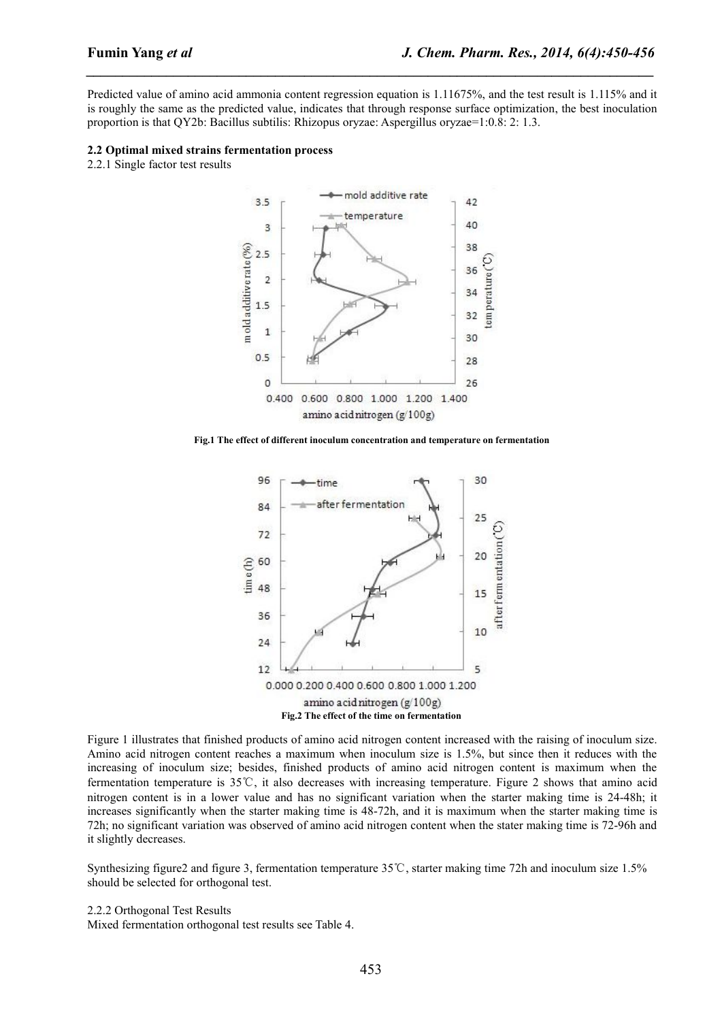Predicted value of amino acid ammonia content regression equation is 1.11675%, and the test result is 1.115% and it is roughly the same as the predicted value, indicates that through response surface optimization, the best inoculation proportion is that QY2b: Bacillus subtilis: Rhizopus oryzae: Aspergillus oryzae=1:0.8: 2: 1.3.

*\_\_\_\_\_\_\_\_\_\_\_\_\_\_\_\_\_\_\_\_\_\_\_\_\_\_\_\_\_\_\_\_\_\_\_\_\_\_\_\_\_\_\_\_\_\_\_\_\_\_\_\_\_\_\_\_\_\_\_\_\_\_\_\_\_\_\_\_\_\_\_\_\_\_\_\_\_\_*

#### **2.2 Optimal mixed strainsfermentation process**

2.2.1 Single factor test results



**Fig.1 The effect of different inoculum concentration and temperature on fermentation**



Figure 1 illustrates that finished products of amino acid nitrogen content increased with the raising of inoculum size. Amino acid nitrogen content reaches a maximum when inoculum size is1.5%, but since then it reduces with the increasing of inoculum size; besides, finished products of amino acid nitrogen content is maximum when the fermentation temperature is35℃,it also decreases with increasing temperature. Figure 2 shows that amino acid nitrogen content is in a lower value and has no significant variation when the starter making time is24-48h; it increases significantly when the starter making time is 48-72h, and it is maximum when the starter making time is 72h; no significant variation was observed of amino acid nitrogen content when the stater making time is 72-96h and it slightly decreases.

Synthesizing figure2 and figure 3, fermentation temperature 35℃, starter making time 72h and inoculum size 1.5% should be selected for orthogonal test.

2.2.2 Orthogonal Test Results

Mixed fermentation orthogonal test results see Table 4.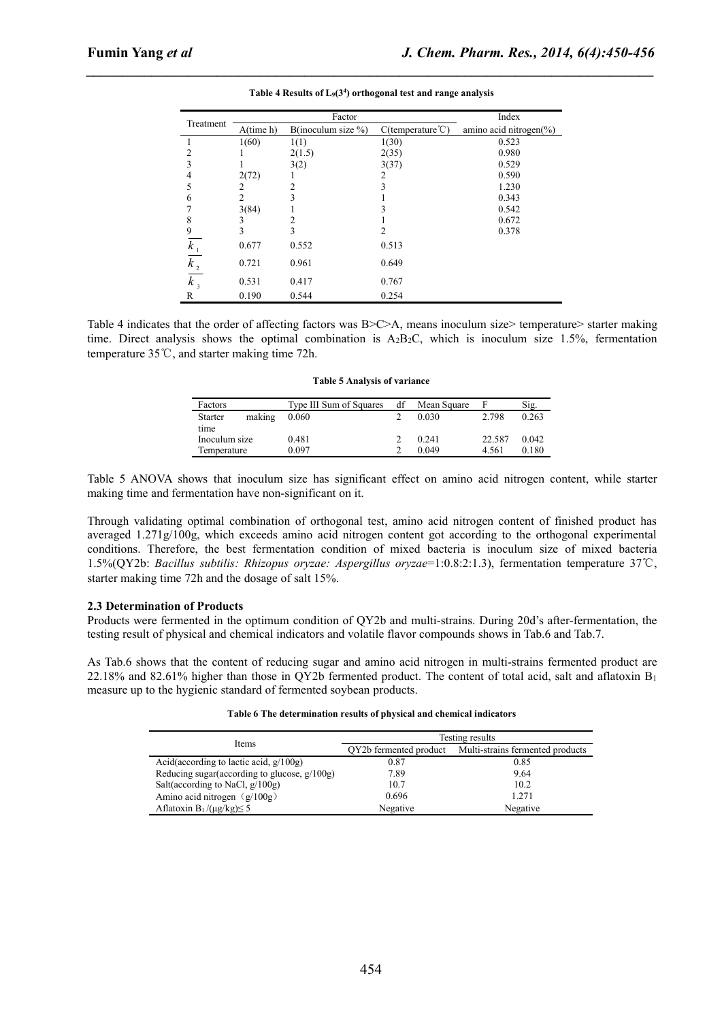|               |                | Factor                 | Index                           |                             |
|---------------|----------------|------------------------|---------------------------------|-----------------------------|
| Treatment     | $A$ (time h)   | B(inoculum size $\%$ ) | $C$ (temperature $\mathbb{C}$ ) | amino acid nitrogen $(\% )$ |
|               | 1(60)          | 1(1)                   | 1(30)                           | 0.523                       |
|               |                | 2(1.5)                 | 2(35)                           | 0.980                       |
|               |                | 3(2)                   | 3(37)                           | 0.529                       |
| 4             | 2(72)          |                        |                                 | 0.590                       |
|               | 2              | 2                      | 3                               | 1.230                       |
| 6             | $\overline{2}$ |                        |                                 | 0.343                       |
|               | 3(84)          |                        |                                 | 0.542                       |
| 8             | 3              |                        |                                 | 0.672                       |
| 9             | 3              | 3                      | 2                               | 0.378                       |
| $k_{\perp}$   | 0.677          | 0.552                  | 0.513                           |                             |
| $k_{2}$       | 0.721          | 0.961                  | 0.649                           |                             |
| $k_{\tiny 3}$ | 0.531          | 0.417                  | 0.767                           |                             |
| R             | 0.190          | 0.544                  | 0.254                           |                             |

|  | Table 4 Results of $L_9(3^4)$ orthogonal test and range analysis |  |
|--|------------------------------------------------------------------|--|
|--|------------------------------------------------------------------|--|

*\_\_\_\_\_\_\_\_\_\_\_\_\_\_\_\_\_\_\_\_\_\_\_\_\_\_\_\_\_\_\_\_\_\_\_\_\_\_\_\_\_\_\_\_\_\_\_\_\_\_\_\_\_\_\_\_\_\_\_\_\_\_\_\_\_\_\_\_\_\_\_\_\_\_\_\_\_\_*

Table 4 indicates that the order of affecting factors was B>C>A, means inoculum size> temperature> starter making time. Direct analysis shows the optimal combination is  $A_2B_2C$ , which is inoculum size 1.5%, fermentation temperature 35℃, and starter making time 72h.

| Table 5 Analysis of variance |
|------------------------------|
|------------------------------|

| Factors                  | Type III Sum of Squares | df | Mean Square | F      | Sig.  |
|--------------------------|-------------------------|----|-------------|--------|-------|
| making<br><b>Starter</b> | 0.060                   |    | 0.030       | 2.798  | 0.263 |
| time                     |                         |    |             |        |       |
| Inoculum size            | 0.481                   |    | 0.241       | 22.587 | 0.042 |
| Temperature              | 0.097                   |    | 0.049       | 4.561  | 0.180 |

Table 5 ANOVA shows that inoculum size has significant effect on amino acid nitrogen content, while starter making time and fermentation have non-significant on it.

Through validating optimal combination of orthogonal test, amino acid nitrogen content of finished product has averaged 1.271g/100g, which exceeds amino acid nitrogen content got according to the orthogonal experimental conditions. Therefore, the best fermentation condition of mixed bacteria is inoculum size of mixed bacteria 1.5%(QY2b: *Bacillus subtilis: Rhizopus oryzae: Aspergillus oryzae*=1:0.8:2:1.3), fermentation temperature 37℃, starter making time 72h and the dosage of salt 15%.

#### **2.3 Determination of Products**

Products were fermented in the optimum condition of QY2b and multi-strains. During 20d's after-fermentation, the testing result of physical and chemical indicators and volatile flavor compounds shows in Tab.6 and Tab.7.

As Tab.6 shows that the content of reducing sugar and amino acid nitrogen in multi-strains fermented product are 22.18% and 82.61% higher than those in QY2b fermented product. The content of total acid, salt and aflatoxin  $B_1$ measure up to the hygienic standard of fermented soybean products.

| Table 6 The determination results of physical and chemical indicators |  |
|-----------------------------------------------------------------------|--|
|-----------------------------------------------------------------------|--|

| Items                                            | Testing results        |                                  |  |  |
|--------------------------------------------------|------------------------|----------------------------------|--|--|
|                                                  | QY2b fermented product | Multi-strains fermented products |  |  |
| Acid(according to lactic acid, $g/100g$ )        | 0.87                   | 0.85                             |  |  |
| Reducing sugar (according to glucose, $g/100g$ ) | 7.89                   | 9.64                             |  |  |
| Salt(according to NaCl, $g/100g$ )               | 10.7                   | 10.2                             |  |  |
| Amino acid nitrogen $(g/100g)$                   | 0.696                  | 1.271                            |  |  |
| Aflatoxin B <sub>1</sub> /( $\mu$ g/kg) $\leq$ 5 | Negative               | Negative                         |  |  |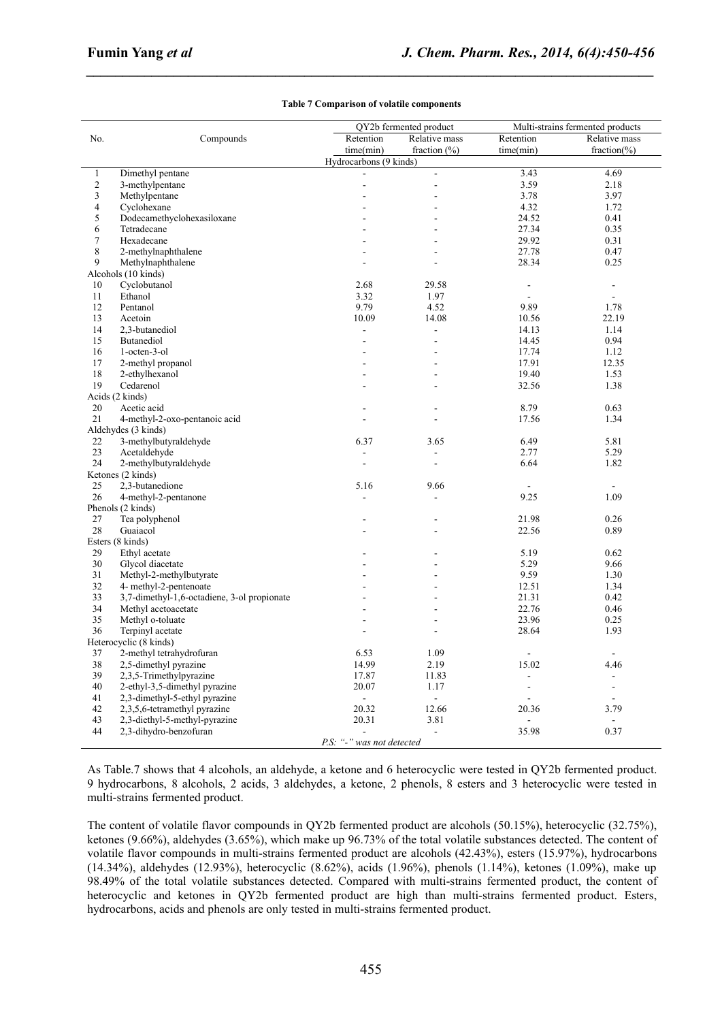|                        |                                             |                | QY2b fermented product |                          | Multi-strains fermented products |  |
|------------------------|---------------------------------------------|----------------|------------------------|--------------------------|----------------------------------|--|
| No.                    | Compounds                                   | Retention      | Relative mass          | Retention                | Relative mass                    |  |
|                        |                                             | time(min)      | fraction $(\% )$       | time(min)                | fraction $(\%)$                  |  |
| Hydrocarbons (9 kinds) |                                             |                |                        |                          |                                  |  |
| $\mathbf{1}$           | Dimethyl pentane                            |                | $\frac{1}{2}$          | 3.43                     | 4.69                             |  |
| $\sqrt{2}$             | 3-methylpentane                             |                | $\overline{a}$         | 3.59                     | 2.18                             |  |
| $\mathfrak{Z}$         | Methylpentane                               |                |                        | 3.78                     | 3.97                             |  |
| $\overline{4}$         | Cyclohexane                                 |                |                        | 4.32                     | 1.72                             |  |
| 5                      | Dodecamethyclohexasiloxane                  |                |                        | 24.52                    | 0.41                             |  |
| $\sqrt{6}$             | Tetradecane                                 |                |                        | 27.34                    | 0.35                             |  |
| $\tau$                 | Hexadecane                                  |                |                        | 29.92                    | 0.31                             |  |
| 8                      | 2-methylnaphthalene                         |                |                        | 27.78                    | 0.47                             |  |
| 9                      | Methylnaphthalene                           |                |                        | 28.34                    | 0.25                             |  |
|                        | Alcohols (10 kinds)                         |                |                        |                          |                                  |  |
| 10                     | Cyclobutanol                                | 2.68           | 29.58                  | $\blacksquare$           | $\blacksquare$                   |  |
| 11                     | Ethanol                                     | 3.32           | 1.97                   | $\overline{\phantom{a}}$ | $\mathbb{Z}^2$                   |  |
| 12                     | Pentanol                                    | 9.79           | 4.52                   | 9.89                     | 1.78                             |  |
| 13                     | Acetoin                                     | 10.09          | 14.08                  | 10.56                    | 22.19                            |  |
| 14                     | 2,3-butanediol                              |                | $\overline{a}$         | 14.13                    | 1.14                             |  |
| 15                     | Butanediol                                  |                | ÷.                     | 14.45                    | 0.94                             |  |
| 16                     | 1-octen-3-ol                                |                |                        | 17.74                    | 1.12                             |  |
| 17                     | 2-methyl propanol                           |                |                        | 17.91                    | 12.35                            |  |
| 18                     | 2-ethylhexanol                              |                | ٠                      | 19.40                    | 1.53                             |  |
| 19                     | Cedarenol                                   |                |                        | 32.56                    | 1.38                             |  |
|                        | Acids (2 kinds)                             |                |                        |                          |                                  |  |
| 20                     | Acetic acid                                 |                |                        | 8.79                     | 0.63                             |  |
| 21                     | 4-methyl-2-oxo-pentanoic acid               |                |                        | 17.56                    | 1.34                             |  |
|                        | Aldehydes (3 kinds)                         |                |                        |                          |                                  |  |
| 22                     | 3-methylbutyraldehyde                       | 6.37           | 3.65                   | 6.49                     | 5.81                             |  |
| 23                     | Acetaldehyde                                | $\overline{a}$ |                        | 2.77                     | 5.29                             |  |
| 24                     | 2-methylbutyraldehyde                       |                |                        | 6.64                     | 1.82                             |  |
|                        | Ketones (2 kinds)                           |                |                        |                          |                                  |  |
| 25                     | 2,3-butanedione                             | 5.16           | 9.66                   |                          | $\sim$                           |  |
| 26                     | 4-methyl-2-pentanone                        |                |                        | 9.25                     | 1.09                             |  |
|                        | Phenols (2 kinds)                           |                |                        |                          |                                  |  |
| 27                     | Tea polyphenol                              |                |                        | 21.98                    | 0.26                             |  |
| 28                     | Guaiacol                                    |                |                        | 22.56                    | 0.89                             |  |
|                        | Esters (8 kinds)                            |                |                        |                          |                                  |  |
| 29                     | Ethyl acetate                               |                |                        | 5.19                     | 0.62                             |  |
| 30                     | Glycol diacetate                            |                |                        | 5.29                     | 9.66                             |  |
| 31                     | Methyl-2-methylbutyrate                     |                |                        | 9.59                     | 1.30                             |  |
| 32                     | 4- methyl-2-pentenoate                      |                |                        | 12.51                    | 1.34                             |  |
|                        |                                             |                |                        |                          |                                  |  |
| 33<br>34               | 3,7-dimethyl-1,6-octadiene, 3-ol propionate |                |                        | 21.31<br>22.76           | 0.42                             |  |
|                        | Methyl acetoacetate                         |                |                        |                          | 0.46                             |  |
| 35                     | Methyl o-toluate                            |                |                        | 23.96                    | 0.25                             |  |
| 36                     | Terpinyl acetate                            |                |                        | 28.64                    | 1.93                             |  |
|                        | Heterocyclic (8 kinds)                      |                |                        |                          |                                  |  |
| 37                     | 2-methyl tetrahydrofuran                    | 6.53           | 1.09                   | $\blacksquare$           | $\blacksquare$                   |  |
| 38                     | 2,5-dimethyl pyrazine                       | 14.99          | 2.19                   | 15.02                    | 4.46                             |  |
| 39                     | 2,3,5-Trimethylpyrazine                     | 17.87          | 11.83                  | $\overline{a}$           | $\sim$                           |  |
| 40                     | 2-ethyl-3,5-dimethyl pyrazine               | 20.07          | 1.17                   | $\blacksquare$           | $\blacksquare$                   |  |
| 41                     | 2,3-dimethyl-5-ethyl pyrazine               |                | $\blacksquare$         |                          |                                  |  |
| 42                     | 2,3,5,6-tetramethyl pyrazine                | 20.32          | 12.66                  | 20.36                    | 3.79                             |  |
| 43                     | 2.3-diethyl-5-methyl-pyrazine               | 20.31          | 3.81                   |                          |                                  |  |
| 44                     | 2,3-dihydro-benzofuran                      |                | $\blacksquare$         | 35.98                    | 0.37                             |  |
|                        | P.S: "-" was not detected                   |                |                        |                          |                                  |  |

#### **Table 7 Comparison of volatile components**

*\_\_\_\_\_\_\_\_\_\_\_\_\_\_\_\_\_\_\_\_\_\_\_\_\_\_\_\_\_\_\_\_\_\_\_\_\_\_\_\_\_\_\_\_\_\_\_\_\_\_\_\_\_\_\_\_\_\_\_\_\_\_\_\_\_\_\_\_\_\_\_\_\_\_\_\_\_\_*

As Table.7 shows that 4 alcohols, an aldehyde, a ketone and 6 heterocyclic were tested in QY2b fermented product. 9 hydrocarbons, 8 alcohols, 2 acids, 3 aldehydes, a ketone, 2 phenols, 8 esters and 3 heterocyclic were tested in multi-strains fermented product.

The content of volatile flavor compounds in QY2b fermented product are alcohols (50.15%), heterocyclic (32.75%), ketones (9.66%), aldehydes (3.65%), which make up 96.73% of the total volatile substances detected. The content of volatile flavor compounds in multi-strains fermented product are alcohols (42.43%), esters (15.97%), hydrocarbons (14.34%), aldehydes (12.93%), heterocyclic (8.62%), acids (1.96%), phenols (1.14%), ketones (1.09%), make up 98.49% of the total volatile substances detected. Compared with multi-strains fermented product, the content of heterocyclic and ketones in QY2b fermented product are high than multi-strains fermented product. Esters, hydrocarbons, acids and phenols are only tested in multi-strains fermented product.